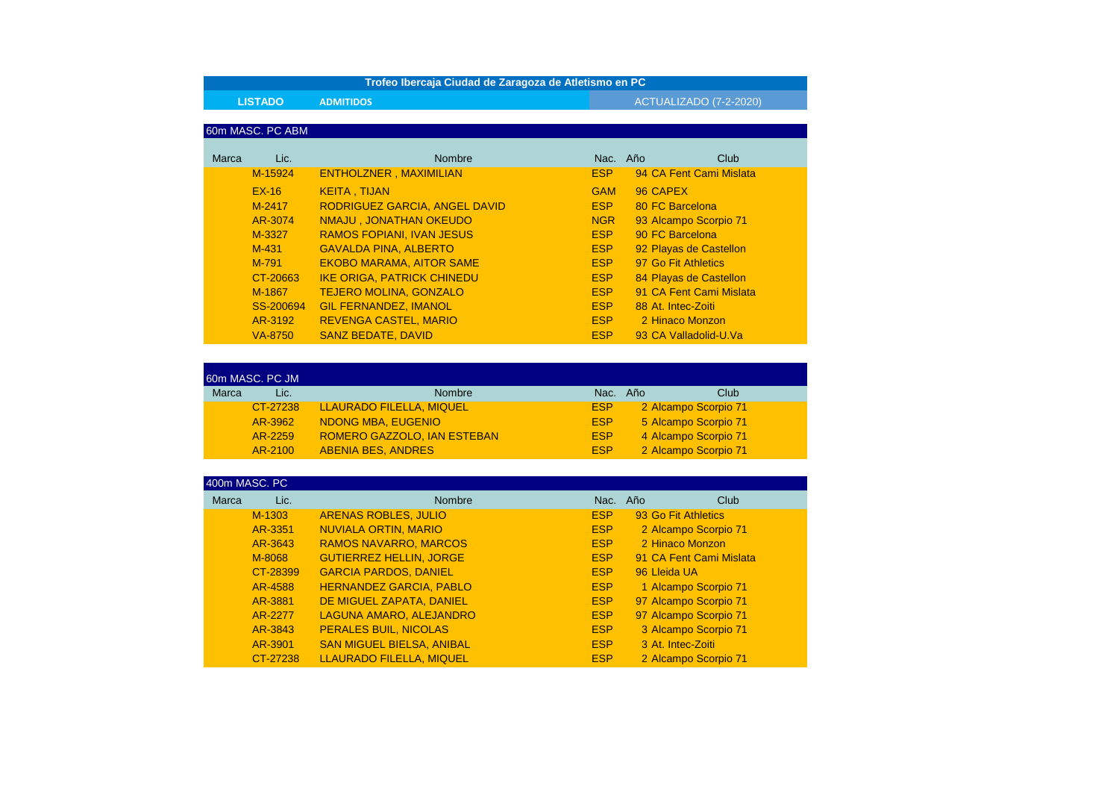## **Trofeo Ibercaja Ciudad de Zaragoza de Atletismo en PC**

**ADMITIDOS** 

## **LISTADO** ADMITIDOS **ADMITIDOS** ANTES EN ENTRE EN ENTRE EN ENTRE ENTRE EL ENTRE ENTRE EL ENTRE EL ENTRE EL ENTRE EL ENTRE EL ENTRE EL ENTRE EL ENTRE EL ENTRE EL ENTRE EL ENTRE EL ENTRE EL ENTRE EL ENTRE EL ENTRE EL ENTRE E

## 60m MASC. PC ABM

| Marca | Lic.      | <b>Nombre</b>                     | Nac. Año   | Club                    |
|-------|-----------|-----------------------------------|------------|-------------------------|
|       | M-15924   | <b>ENTHOLZNER, MAXIMILIAN</b>     | <b>ESP</b> | 94 CA Fent Cami Mislata |
|       | $EX-16$   | <b>KEITA, TIJAN</b>               | <b>GAM</b> | 96 CAPEX                |
|       | M-2417    | RODRIGUEZ GARCIA, ANGEL DAVID     | <b>ESP</b> | 80 FC Barcelona         |
|       | AR-3074   | NMAJU, JONATHAN OKEUDO            | NGR        | 93 Alcampo Scorpio 71   |
|       | M-3327    | <b>RAMOS FOPIANI, IVAN JESUS</b>  | <b>ESP</b> | 90 FC Barcelona         |
|       | $M-431$   | <b>GAVALDA PINA, ALBERTO</b>      | <b>ESP</b> | 92 Playas de Castellon  |
|       | M-791     | <b>EKOBO MARAMA, AITOR SAME</b>   | <b>ESP</b> | 97 Go Fit Athletics     |
|       | CT-20663  | <b>IKE ORIGA, PATRICK CHINEDU</b> | <b>ESP</b> | 84 Playas de Castellon  |
|       | M-1867    | <b>TEJERO MOLINA, GONZALO</b>     | <b>ESP</b> | 91 CA Fent Cami Mislata |
|       | SS-200694 | <b>GIL FERNANDEZ, IMANOL</b>      | <b>ESP</b> | 88 At. Intec-Zoiti      |
|       | AR-3192   | <b>REVENGA CASTEL, MARIO</b>      | ESP        | 2 Hinaco Monzon         |
|       | VA-8750   | <b>SANZ BEDATE, DAVID</b>         | <b>ESP</b> | 93 CA Valladolid-U.Va   |

| 60m MASC, PC JM |          |                             |            |  |                      |  |  |  |
|-----------------|----------|-----------------------------|------------|--|----------------------|--|--|--|
| Marca           | Lic.     | <b>Nombre</b>               | Nac. Año   |  | Club                 |  |  |  |
|                 | CT-27238 | LLAURADO FILELLA, MIQUEL    | <b>ESP</b> |  | 2 Alcampo Scorpio 71 |  |  |  |
|                 | AR-3962  | <b>NDONG MBA, EUGENIO</b>   | <b>ESP</b> |  | 5 Alcampo Scorpio 71 |  |  |  |
|                 | AR-2259  | ROMERO GAZZOLO, IAN ESTEBAN | <b>ESP</b> |  | 4 Alcampo Scorpio 71 |  |  |  |
|                 | AR-2100  | <b>ABENIA BES, ANDRES</b>   | <b>ESP</b> |  | 2 Alcampo Scorpio 71 |  |  |  |

| 400m MASC, PC |          |                                  |            |                         |  |
|---------------|----------|----------------------------------|------------|-------------------------|--|
| Marca         | Lic.     | Nombre                           | Nac.       | Año<br>Club             |  |
|               | M-1303   | <b>ARENAS ROBLES, JULIO</b>      | <b>ESP</b> | 93 Go Fit Athletics     |  |
|               | AR-3351  | <b>NUVIALA ORTIN, MARIO</b>      | <b>ESP</b> | 2 Alcampo Scorpio 71    |  |
|               | AR-3643  | <b>RAMOS NAVARRO, MARCOS</b>     | <b>ESP</b> | 2 Hinaco Monzon         |  |
|               | M-8068   | <b>GUTIERREZ HELLIN, JORGE</b>   | <b>ESP</b> | 91 CA Fent Cami Mislata |  |
|               | CT-28399 | <b>GARCIA PARDOS, DANIEL</b>     | <b>ESP</b> | 96 Lleida UA            |  |
|               | AR-4588  | <b>HERNANDEZ GARCIA, PABLO</b>   | <b>ESP</b> | 1 Alcampo Scorpio 71    |  |
|               | AR-3881  | DE MIGUEL ZAPATA, DANIEL         | <b>ESP</b> | 97 Alcampo Scorpio 71   |  |
|               | AR-2277  | LAGUNA AMARO, ALEJANDRO          | <b>ESP</b> | 97 Alcampo Scorpio 71   |  |
|               | AR-3843  | <b>PERALES BUIL, NICOLAS</b>     | <b>ESP</b> | 3 Alcampo Scorpio 71    |  |
|               | AR-3901  | <b>SAN MIGUEL BIELSA, ANIBAL</b> | <b>ESP</b> | 3 At. Intec-Zoiti       |  |
|               | CT-27238 | <b>LLAURADO FILELLA, MIQUEL</b>  | <b>ESP</b> | 2 Alcampo Scorpio 71    |  |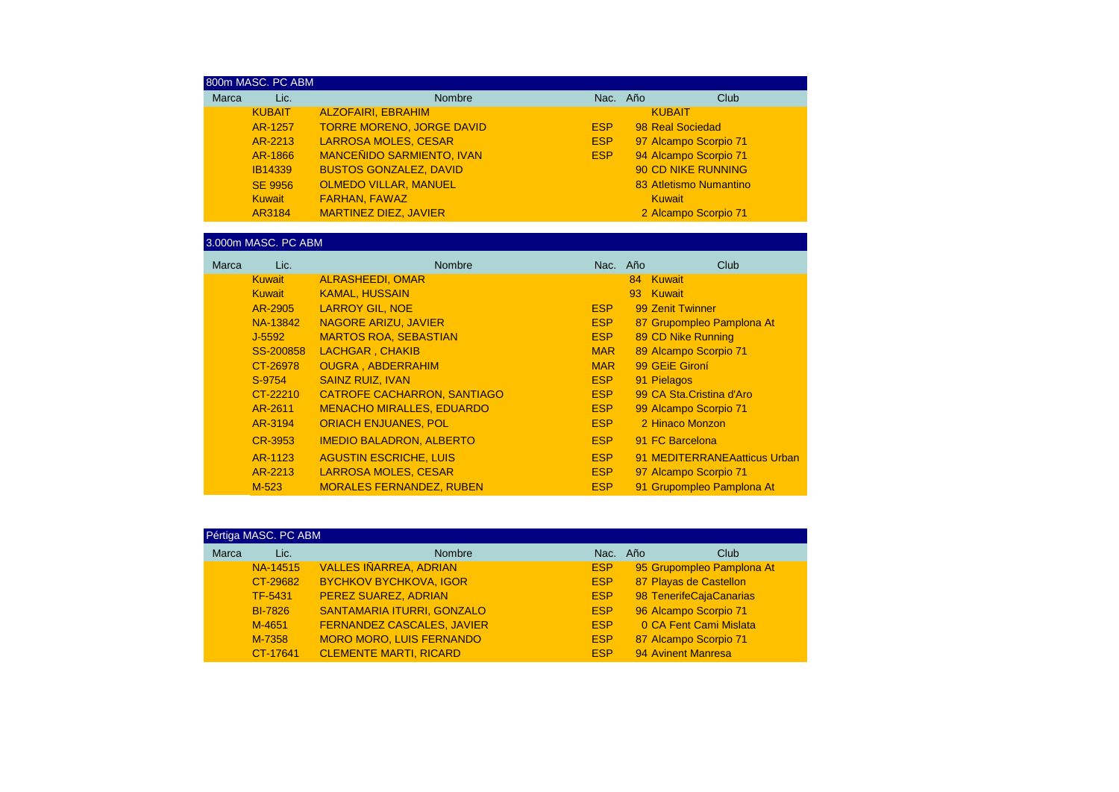|       | 800m MASC. PC ABM |                                  |            |                        |
|-------|-------------------|----------------------------------|------------|------------------------|
| Marca | Lic.              | <b>Nombre</b>                    | Nac. Año   | Club                   |
|       | <b>KUBAIT</b>     | <b>ALZOFAIRI, EBRAHIM</b>        |            | <b>KUBAIT</b>          |
|       | AR-1257           | <b>TORRE MORENO, JORGE DAVID</b> | <b>ESP</b> | 98 Real Sociedad       |
|       | AR-2213           | <b>LARROSA MOLES, CESAR</b>      | <b>ESP</b> | 97 Alcampo Scorpio 71  |
|       | AR-1866           | <b>MANCEÑIDO SARMIENTO, IVAN</b> | ESP.       | 94 Alcampo Scorpio 71  |
|       | <b>IB14339</b>    | <b>BUSTOS GONZALEZ, DAVID</b>    |            | 90 CD NIKE RUNNING     |
|       | <b>SE 9956</b>    | <b>OLMEDO VILLAR, MANUEL</b>     |            | 83 Atletismo Numantino |
|       | Kuwait            | <b>FARHAN, FAWAZ</b>             |            | <b>Kuwait</b>          |
|       | AR3184            | <b>MARTINEZ DIEZ, JAVIER</b>     |            | 2 Alcampo Scorpio 71   |

## 3.000m MASC. PC ABM

| Marca | Lic.          | <b>Nombre</b>                      | Nac. Año   | Club                         |
|-------|---------------|------------------------------------|------------|------------------------------|
|       | <b>Kuwait</b> | <b>ALRASHEEDI, OMAR</b>            |            | 84 Kuwait                    |
|       | <b>Kuwait</b> | <b>KAMAL, HUSSAIN</b>              |            | 93 Kuwait                    |
|       | AR-2905       | <b>LARROY GIL, NOE</b>             | ESP.       | 99 Zenit Twinner             |
|       | NA-13842      | <b>NAGORE ARIZU, JAVIER</b>        | ESP        | 87 Grupompleo Pamplona At    |
|       | $J - 5592$    | <b>MARTOS ROA, SEBASTIAN</b>       | ESP        | 89 CD Nike Running           |
|       | SS-200858     | LACHGAR, CHAKIB                    | <b>MAR</b> | 89 Alcampo Scorpio 71        |
|       | CT-26978      | <b>OUGRA, ABDERRAHIM</b>           | <b>MAR</b> | 99 GEIE Gironí               |
|       | S-9754        | <b>SAINZ RUIZ, IVAN</b>            | ESP        | 91 Pielagos                  |
|       | CT-22210      | <b>CATROFE CACHARRON, SANTIAGO</b> | ESP        | 99 CA Sta.Cristina d'Aro     |
|       | AR-2611       | <b>MENACHO MIRALLES, EDUARDO</b>   | <b>ESP</b> | 99 Alcampo Scorpio 71        |
|       | AR-3194       | <b>ORIACH ENJUANES, POL</b>        | <b>ESP</b> | 2 Hinaco Monzon              |
|       | CR-3953       | <b>IMEDIO BALADRON, ALBERTO</b>    | ESP        | 91 FC Barcelona              |
|       | AR-1123       | <b>AGUSTIN ESCRICHE, LUIS</b>      | <b>ESP</b> | 91 MEDITERRANEAatticus Urban |
|       | AR-2213       | <b>LARROSA MOLES, CESAR</b>        | ESP.       | 97 Alcampo Scorpio 71        |
|       | $M-523$       | <b>MORALES FERNANDEZ, RUBEN</b>    | <b>ESP</b> | 91 Grupompleo Pamplona At    |

|       | Pértiga MASC. PC ABM |                                   |            |                           |  |  |  |  |  |
|-------|----------------------|-----------------------------------|------------|---------------------------|--|--|--|--|--|
| Marca | Lic.                 | <b>Nombre</b>                     | Nac.       | Año<br>Club               |  |  |  |  |  |
|       | NA-14515             | <b>VALLES IÑARREA, ADRIAN</b>     | <b>ESP</b> | 95 Grupompleo Pamplona At |  |  |  |  |  |
|       | CT-29682             | <b>BYCHKOV BYCHKOVA, IGOR</b>     | <b>ESP</b> | 87 Playas de Castellon    |  |  |  |  |  |
|       | TF-5431              | PEREZ SUAREZ, ADRIAN              | <b>ESP</b> | 98 TenerifeCajaCanarias   |  |  |  |  |  |
|       | <b>BI-7826</b>       | <b>SANTAMARIA ITURRI, GONZALO</b> | ESP.       | 96 Alcampo Scorpio 71     |  |  |  |  |  |
|       | M-4651               | <b>FERNANDEZ CASCALES, JAVIER</b> | <b>ESP</b> | 0 CA Fent Cami Mislata    |  |  |  |  |  |
|       | M-7358               | <b>MORO MORO, LUIS FERNANDO</b>   | <b>ESP</b> | 87 Alcampo Scorpio 71     |  |  |  |  |  |
|       | CT-17641             | <b>CLEMENTE MARTI, RICARD</b>     | <b>ESP</b> | 94 Avinent Manresa        |  |  |  |  |  |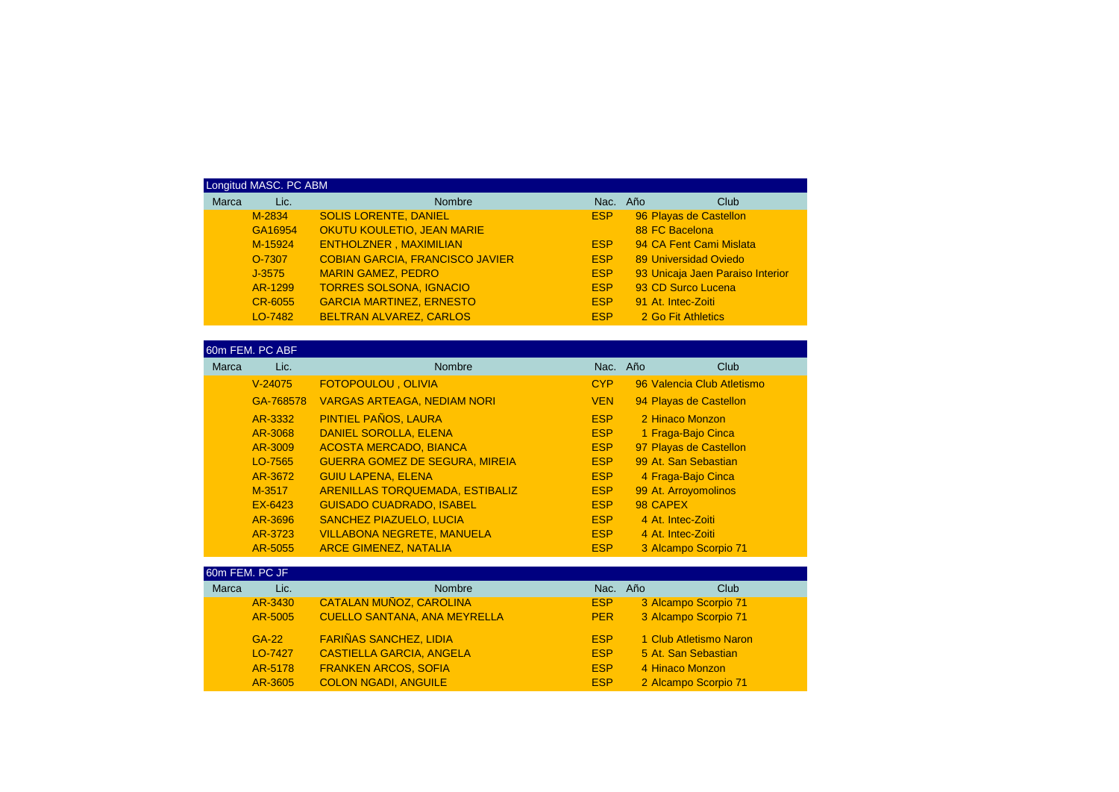|       | Longitud MASC. PC ABM |                                        |            |                                  |  |  |  |  |  |
|-------|-----------------------|----------------------------------------|------------|----------------------------------|--|--|--|--|--|
| Marca | Lic.                  | <b>Nombre</b>                          | Nac.       | Año<br>Club                      |  |  |  |  |  |
|       | M-2834                | <b>SOLIS LORENTE, DANIEL</b>           | ESP.       | 96 Playas de Castellon           |  |  |  |  |  |
|       | GA16954               | OKUTU KOULETIO, JEAN MARIE             |            | 88 FC Bacelona                   |  |  |  |  |  |
|       | M-15924               | <b>ENTHOLZNER, MAXIMILIAN</b>          | ESP.       | 94 CA Fent Cami Mislata          |  |  |  |  |  |
|       | O-7307                | <b>COBIAN GARCIA, FRANCISCO JAVIER</b> | ESP.       | 89 Universidad Oviedo            |  |  |  |  |  |
|       | $J - 3575$            | <b>MARIN GAMEZ, PEDRO</b>              | <b>ESP</b> | 93 Unicaja Jaen Paraiso Interior |  |  |  |  |  |
|       | AR-1299               | <b>TORRES SOLSONA, IGNACIO</b>         | ESP.       | 93 CD Surco Lucena               |  |  |  |  |  |
|       | CR-6055               | <b>GARCIA MARTINEZ, ERNESTO</b>        | ESP.       | 91 At. Intec-Zoiti               |  |  |  |  |  |
|       | LO-7482               | <b>BELTRAN ALVAREZ, CARLOS</b>         | <b>ESP</b> | 2 Go Fit Athletics               |  |  |  |  |  |

| 60m FEM. PC ABF |           |                                        |            |  |                            |  |  |
|-----------------|-----------|----------------------------------------|------------|--|----------------------------|--|--|
| Marca           | Lic.      | <b>Nombre</b>                          | Nac. Año   |  | Club                       |  |  |
|                 | $V-24075$ | <b>FOTOPOULOU, OLIVIA</b>              | <b>CYP</b> |  | 96 Valencia Club Atletismo |  |  |
|                 | GA-768578 | <b>VARGAS ARTEAGA, NEDIAM NORI</b>     | <b>VEN</b> |  | 94 Playas de Castellon     |  |  |
|                 | AR-3332   | PINTIEL PAÑOS, LAURA                   | <b>ESP</b> |  | 2 Hinaco Monzon            |  |  |
|                 | AR-3068   | <b>DANIEL SOROLLA, ELENA</b>           | <b>ESP</b> |  | 1 Fraga-Bajo Cinca         |  |  |
|                 | AR-3009   | <b>ACOSTA MERCADO, BIANCA</b>          | <b>ESP</b> |  | 97 Playas de Castellon     |  |  |
|                 | LO-7565   | <b>GUERRA GOMEZ DE SEGURA, MIREIA</b>  | <b>ESP</b> |  | 99 At. San Sebastian       |  |  |
|                 | AR-3672   | <b>GUIU LAPENA, ELENA</b>              | <b>ESP</b> |  | 4 Fraga-Bajo Cinca         |  |  |
|                 | M-3517    | <b>ARENILLAS TORQUEMADA, ESTIBALIZ</b> | <b>ESP</b> |  | 99 At. Arroyomolinos       |  |  |
|                 | EX-6423   | <b>GUISADO CUADRADO, ISABEL</b>        | <b>ESP</b> |  | 98 CAPEX                   |  |  |
|                 | AR-3696   | <b>SANCHEZ PIAZUELO, LUCIA</b>         | <b>ESP</b> |  | 4 At. Intec-Zoiti          |  |  |
|                 | AR-3723   | <b>VILLABONA NEGRETE, MANUELA</b>      | <b>ESP</b> |  | 4 At. Intec-Zoiti          |  |  |
|                 | AR-5055   | <b>ARCE GIMENEZ, NATALIA</b>           | <b>ESP</b> |  | 3 Alcampo Scorpio 71       |  |  |

| 60m FEM. PC JF |              |                                     |            |                        |
|----------------|--------------|-------------------------------------|------------|------------------------|
| Marca          | Lic.         | <b>Nombre</b>                       | Nac. Año   | Club                   |
|                | AR-3430      | CATALAN MUÑOZ, CAROLINA             | ESP.       | 3 Alcampo Scorpio 71   |
|                | AR-5005      | <b>CUELLO SANTANA, ANA MEYRELLA</b> | <b>PER</b> | 3 Alcampo Scorpio 71   |
|                | <b>GA-22</b> | <b>FARIÑAS SANCHEZ, LIDIA</b>       | <b>ESP</b> | 1 Club Atletismo Naron |
|                | LO-7427      | <b>CASTIELLA GARCIA, ANGELA</b>     | <b>ESP</b> | 5 At. San Sebastian    |
|                | AR-5178      | <b>FRANKEN ARCOS, SOFIA</b>         | <b>ESP</b> | 4 Hinaco Monzon        |
|                | AR-3605      | <b>COLON NGADI, ANGUILE</b>         | <b>ESP</b> | 2 Alcampo Scorpio 71   |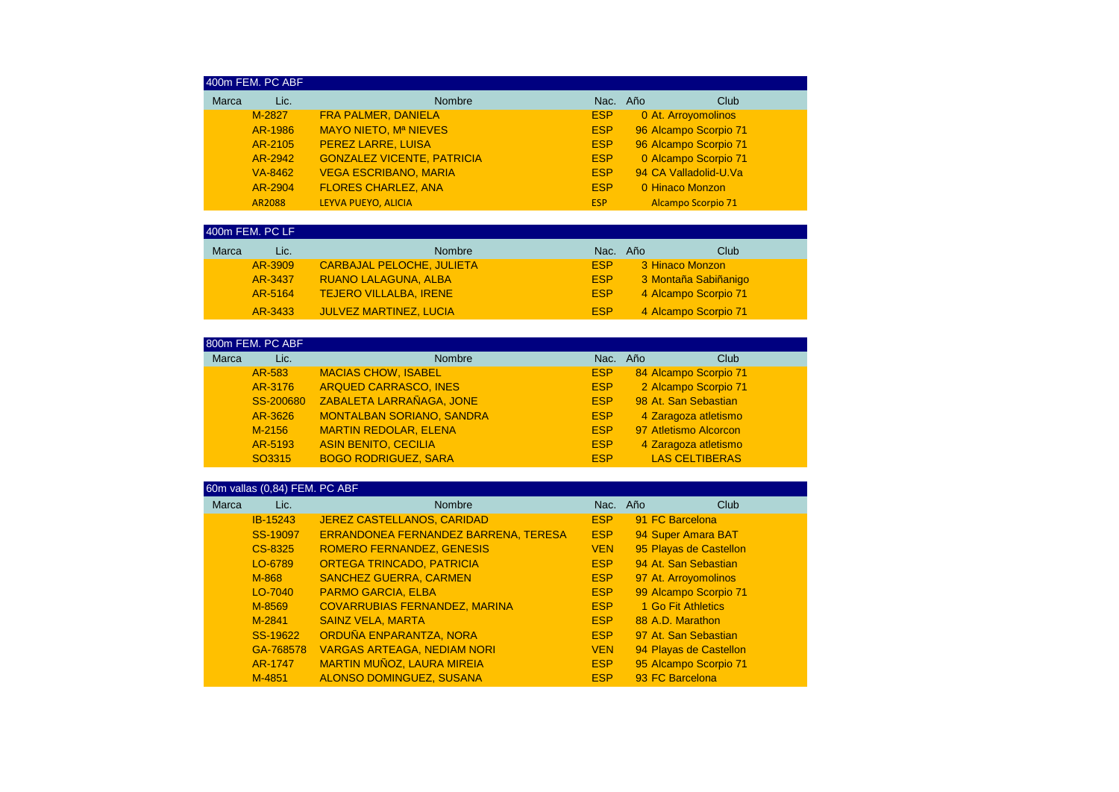| 400m FEM, PC ABF |                |                                   |            |                           |  |  |  |
|------------------|----------------|-----------------------------------|------------|---------------------------|--|--|--|
| Marca            | Lic.           | <b>Nombre</b>                     | Nac.       | Club<br>Año               |  |  |  |
|                  | M-2827         | <b>FRA PALMER, DANIELA</b>        | <b>ESP</b> | 0 At. Arroyomolinos       |  |  |  |
|                  | AR-1986        | <b>MAYO NIETO, Mª NIEVES</b>      | <b>ESP</b> | 96 Alcampo Scorpio 71     |  |  |  |
|                  | AR-2105        | <b>PEREZ LARRE, LUISA</b>         | <b>ESP</b> | 96 Alcampo Scorpio 71     |  |  |  |
|                  | AR-2942        | <b>GONZALEZ VICENTE, PATRICIA</b> | <b>ESP</b> | 0 Alcampo Scorpio 71      |  |  |  |
|                  | <b>VA-8462</b> | <b>VEGA ESCRIBANO, MARIA</b>      | <b>ESP</b> | 94 CA Valladolid-U.Va     |  |  |  |
|                  | AR-2904        | <b>FLORES CHARLEZ, ANA</b>        | <b>ESP</b> | 0 Hinaco Monzon           |  |  |  |
|                  | AR2088         | LEYVA PUEYO, ALICIA               | <b>ESP</b> | <b>Alcampo Scorpio 71</b> |  |  |  |

|       | 400m FEM. PC LF |                                  |            |                      |  |
|-------|-----------------|----------------------------------|------------|----------------------|--|
| Marca | Lic.            | <b>Nombre</b>                    | Nac. Año   | Club                 |  |
|       | AR-3909         | <b>CARBAJAL PELOCHE, JULIETA</b> | <b>ESP</b> | 3 Hinaco Monzon      |  |
|       | AR-3437         | <b>RUANO LALAGUNA, ALBA</b>      | <b>ESP</b> | 3 Montaña Sabiñanigo |  |
|       | AR-5164         | <b>TEJERO VILLALBA, IRENE</b>    | <b>ESP</b> | 4 Alcampo Scorpio 71 |  |
|       | AR-3433         | <b>JULVEZ MARTINEZ, LUCIA</b>    | <b>ESP</b> | 4 Alcampo Scorpio 71 |  |

|       | 800m FEM. PC ABF |                                  |            |                       |
|-------|------------------|----------------------------------|------------|-----------------------|
| Marca | Lic.             | <b>Nombre</b>                    | Nac. Año   | Club                  |
|       | AR-583           | <b>MACIAS CHOW, ISABEL</b>       | <b>ESP</b> | 84 Alcampo Scorpio 71 |
|       | AR-3176          | <b>ARQUED CARRASCO, INES</b>     | <b>ESP</b> | 2 Alcampo Scorpio 71  |
|       | SS-200680        | ZABALETA LARRAÑAGA, JONE         | <b>ESP</b> | 98 At. San Sebastian  |
|       | AR-3626          | <b>MONTALBAN SORIANO, SANDRA</b> | <b>ESP</b> | 4 Zaragoza atletismo  |
|       | M-2156           | <b>MARTIN REDOLAR, ELENA</b>     | <b>ESP</b> | 97 Atletismo Alcorcon |
|       | AR-5193          | <b>ASIN BENITO, CECILIA</b>      | <b>ESP</b> | 4 Zaragoza atletismo  |
|       | SO3315           | <b>BOGO RODRIGUEZ, SARA</b>      | <b>ESP</b> | <b>LAS CELTIBERAS</b> |

| $60m$ vallas $(0,84)$ FEM. PC ABF |       |           |                                      |            |                        |  |  |  |  |
|-----------------------------------|-------|-----------|--------------------------------------|------------|------------------------|--|--|--|--|
|                                   | Marca | Lic.      | <b>Nombre</b>                        | Nac. Año   | Club                   |  |  |  |  |
|                                   |       | IB-15243  | <b>JEREZ CASTELLANOS, CARIDAD</b>    | <b>ESP</b> | 91 FC Barcelona        |  |  |  |  |
|                                   |       | SS-19097  | ERRANDONEA FERNANDEZ BARRENA, TERESA | <b>ESP</b> | 94 Super Amara BAT     |  |  |  |  |
|                                   |       | CS-8325   | <b>ROMERO FERNANDEZ, GENESIS</b>     | <b>VEN</b> | 95 Playas de Castellon |  |  |  |  |
|                                   |       | LO-6789   | ORTEGA TRINCADO, PATRICIA            | ESP.       | 94 At. San Sebastian   |  |  |  |  |
|                                   |       | M-868     | <b>SANCHEZ GUERRA, CARMEN</b>        | <b>ESP</b> | 97 At. Arroyomolinos   |  |  |  |  |
|                                   |       | LO-7040   | <b>PARMO GARCIA, ELBA</b>            | <b>ESP</b> | 99 Alcampo Scorpio 71  |  |  |  |  |
|                                   |       | M-8569    | <b>COVARRUBIAS FERNANDEZ, MARINA</b> | <b>ESP</b> | 1 Go Fit Athletics     |  |  |  |  |
|                                   |       | M-2841    | <b>SAINZ VELA, MARTA</b>             | <b>ESP</b> | 88 A.D. Marathon       |  |  |  |  |
|                                   |       | SS-19622  | ORDUÑA ENPARANTZA, NORA              | <b>ESP</b> | 97 At. San Sebastian   |  |  |  |  |
|                                   |       | GA-768578 | <b>VARGAS ARTEAGA, NEDIAM NORI</b>   | <b>VEN</b> | 94 Playas de Castellon |  |  |  |  |
|                                   |       | AR-1747   | <b>MARTIN MUÑOZ, LAURA MIREIA</b>    | ESP        | 95 Alcampo Scorpio 71  |  |  |  |  |
|                                   |       | M-4851    | <b>ALONSO DOMINGUEZ, SUSANA</b>      | <b>ESP</b> | 93 FC Barcelona        |  |  |  |  |